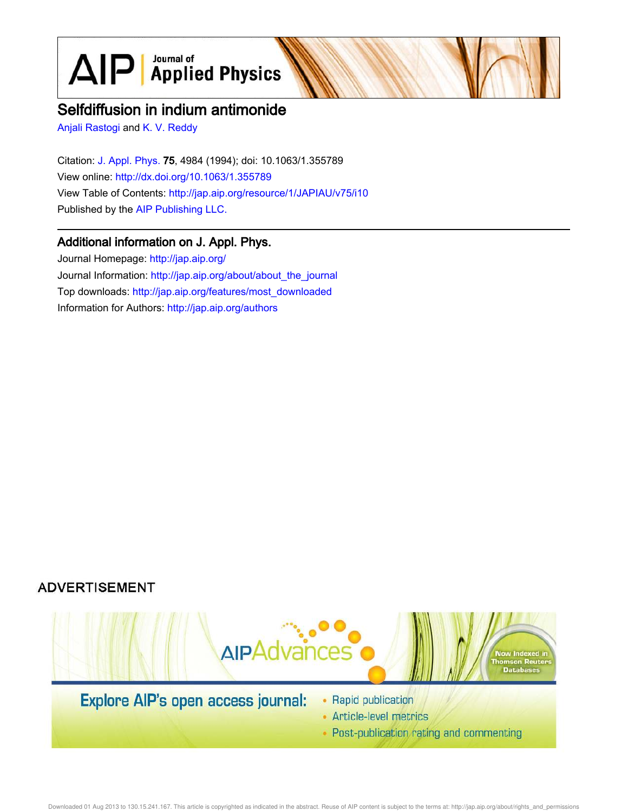$\text{AlP}$  Applied Physics

# Selfdiffusion in indium antimonide

Anjali Rastogi and K. V. Reddy

Citation: J. Appl. Phys. 75, 4984 (1994); doi: 10.1063/1.355789 View online: http://dx.doi.org/10.1063/1.355789 View Table of Contents: http://jap.aip.org/resource/1/JAPIAU/v75/i10 Published by the AIP Publishing LLC.

## Additional information on J. Appl. Phys.

Journal Homepage: http://jap.aip.org/ Journal Information: http://jap.aip.org/about/about\_the\_journal Top downloads: http://jap.aip.org/features/most\_downloaded Information for Authors: http://jap.aip.org/authors





- Article-level metrics
- Post-publication rating and commenting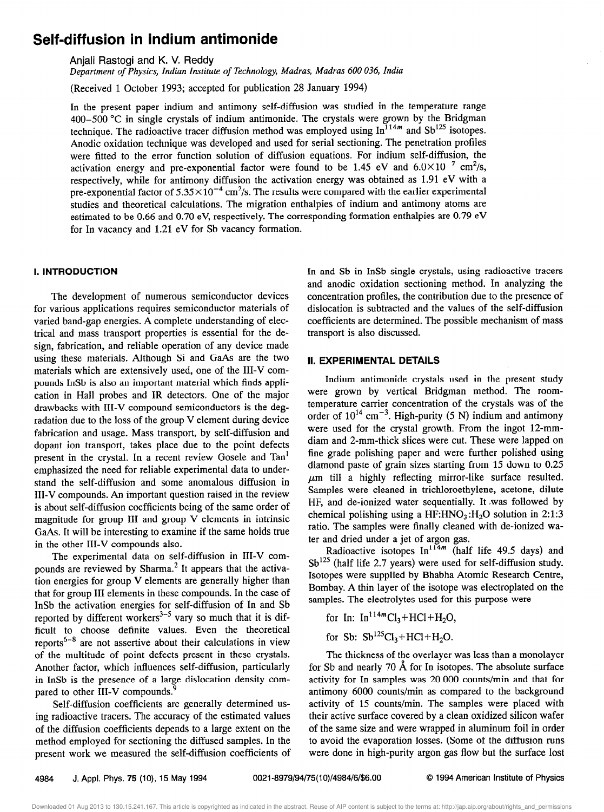## Self-diffusion in indium antimonide

Anjali Rastogi and K. V. Reddy

Department of Physics, Indian Institute of Technology, Madras, Madras 600 036, India

(Received 1 October 1993; accepted for publication 28 January 1994)

In the present paper indium and antimony self-diffusion was studied in the temperature range 400-500 "C in single crystals of indium antimonide. The crystals were grown by the Bridgman technique. The radioactive tracer diffusion method was employed using  $In^{114m}$  and Sb<sup>125</sup> isotopes. Anodic oxidation technique was developed and used for serial sectioning. The penetration profiles were fitted to the error function solution of diffusion equations. For indium self-diffusion, the activation energy and pre-exponential factor were found to be 1.45 eV and  $6.0\times10^{-7}$  cm<sup>2</sup>/s, respectively, while for antimony diffusion the activation energy was obtained as 1.91 eV with a pre-exponential factor of  $5.35 \times 10^{-4}$  cm<sup>2</sup>/s. The results were compared with the earlier experimental studies and theoretical calculations. The migration enthalpies of indium and antimony atoms are estimated to be 0.66 and 0.70 eV, respectively. The corresponding formation enthalpies are 0.79 eV for In vacancy and 1.21 eV for Sb vacancy formation.

### I. INTRODUCTION

The development of numerous semiconductor devices for various applications requires semiconductor materials of varied band-gap energies. A complete understanding of electrical and mass transport properties is essential for the design, fabrication, and reliable operation of any device made using these materials. Although Si and GaAs are the two materials which are extensively used, one of the III-V compounds InSb is also an important material which finds application in Hall probes and IR detectors. One of the major drawbacks with III-V compound semiconductors is the degradation due to the loss of the group V element during device fabrication and usage. Mass transport, by self-diffusion and dopant ion transport, takes place due to the point defects present in the crystal. In a recent review Gosele and Tan' emphasized the need for reliable experimental data to understand the self-diffusion and some anomalous diffusion in III-V compounds. An important question raised in the review is about self-diffusion coefficients being of the same order of magnitude for group III and group V elements in intrinsic GaAs. It will be interesting to examine if the same holds true in the other III-V compounds also.

The experimental data on self-diffusion in III-V compounds are reviewed by Sharma.<sup>2</sup> It appears that the activation energies for group V elements are generally higher than that for group III elements in these compounds. In the case of InSb the activation energies for self-diffusion of In and Sb reported by different workers $3-5$  vary so much that it is difficult to choose definite values. Even the theoretical reports<sup>6-8</sup> are not assertive about their calculations in view of the multitude of point defects present in these crystals. Another factor, which influences self-diffusion, particularly in InSb is the presence of a large dislocation density compared to other III-V compounds.'

Self-diffusion coefficients are generally determined using radioactive tracers. The accuracy of the estimated values of the diffusion coefficients depends to a large extent on the method employed for sectioning the diffused samples. In the present work we measured the self-diffusion coefficients of In and Sb in InSb single crystals, using radioactive tracers and anodic oxidation sectioning method. In analyzing the concentration profiles, the contribution due to the presence of dislocation is subtracted and the values of the self-diffusion coefficients are determined. The possible mechanism of mass transport is also discussed.

#### II. EXPERlMENTAL DETAILS

Indium antimonide crystals used in the present study were grown by vertical Bridgman method. The roomtemperature carrier concentration of the crystals was of the order of  $10^{14}$  cm<sup>-3</sup>. High-purity (5 N) indium and antimony were used for the crystal growth. From the ingot 12-mmdiam and 2-mm-thick slices were cut. These were lapped on fine grade polishing paper and were further polished using diamond paste of grain sizes starting from 15 down to 0.25  $\mu$ m till a highly reflecting mirror-like surface resulted. Samples were cleaned in trichloroethylene, acetone, dilute HF, and de-ionized water sequentially. It .was followed by chemical polishing using a  $HF: HNO<sub>3</sub>: H<sub>2</sub>O$  solution in 2:1:3 ratio. The samples were finally cleaned with de-ionized water and dried under a jet of argon gas.

Radioactive isotopes  $In^{114m}$  (half life 49.5 days) and  $Sb^{125}$  (half life 2.7 years) were used for self-diffusion study. Isotopes were supplied by Bhabha Atomic Research Centre, Bombay. A thin layer of the isotope was electroplated on the samples. The electrolytes used for this purpose were

- for In:  $In^{114m}Cl_3 + HCl + H_2O$ ,
- for Sb:  $Sb^{125}Cl_3 + HCl + H_2O$ .

The thickness of the overlayer was less than a monolayer for Sb and nearly 70  $\AA$  for In isotopes. The absolute surface activity for In samples was 20 000 counts/min and that for antimony 6000 counts/min as compared to the background activity of 15 counts/min. The samples were placed with their active surface covered by a clean oxidized silicon wafer of the same size and were wrapped in aluminum foil in order to avoid the evaporation losses. (Some of the diffusion runs were done in high-purity argon gas flow but the surface lost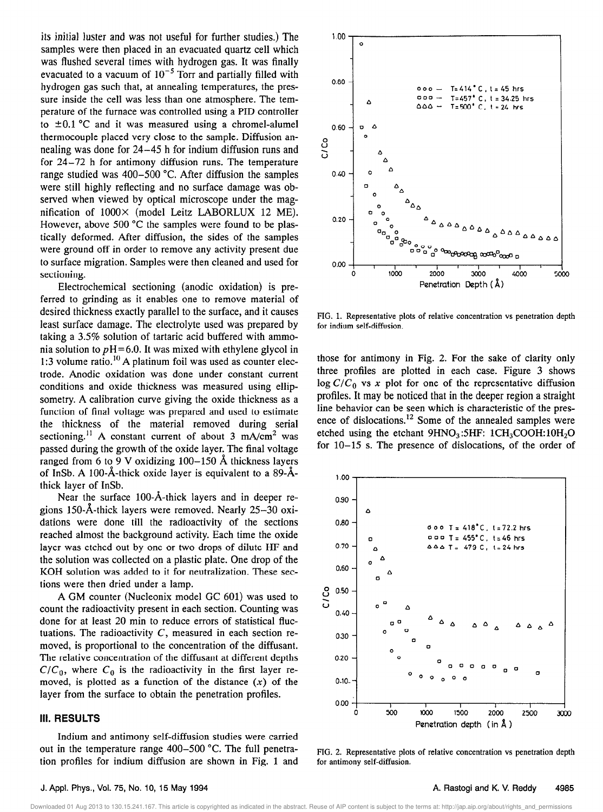its initial luster and was not useful for further studies.) The samples were then placed in an evacuated quartz cell which was flushed several times with hydrogen gas. It was finally evacuated to a vacuum of  $10^{-5}$  Torr and partially filled with hydrogen gas such that, at annealing temperatures, the pressure inside the cell was less than one atmosphere. The temperature of the furnace was controlled using a PID controller to  $\pm 0.1$  °C and it was measured using a chromel-alumel thermocouple placed very close to the sample. Diffusion annealing was done for 24-45 h for indium diffusion runs and for 24-72 h for antimony diffusion runs. The temperature range studied was 400-500 "C. After diffusion the samples were still highly reflecting and no surface damage was observed when viewed by optical microscope under the magnification of 1000X (model Leitz LABORLUX 12 ME). However, above 500 °C the samples were found to be plastically deformed. After diffusion, the sides of the samples were ground off in order to remove any activity present due to surface migration. Samples were then cleaned and used for sectioning.

Electrochemical sectioning (anodic oxidation) is preferred to grinding as it enables one to remove material of desired thickness exactly parallel to the surface, and it causes least surface damage. The electrolyte used was prepared by taking a 3.5% solution of tartaric acid buffered with ammonia solution to  $pH=6.0$ . It was mixed with ethylene glycol in 1:3 volume ratio.<sup>10</sup> A platinum foil was used as counter electrode. Anodic oxidation was done under constant current conditions and oxide thickness was measured using ellipsometry. A calibration curve giving the oxide thickness as a function of final voltage was prepared and used to estimate the thickness of the material removed during serial sectioning.<sup>11</sup> A constant current of about 3 mA/cm<sup>2</sup> was passed during the growth of the oxide layer. The final voltage ranged from 6 to 9 V oxidizing  $100-150$  Å thickness layers of InSb. A 100- $\AA$ -thick oxide layer is equivalent to a 89- $\AA$ thick layer of InSb.

Near the surface  $100 - \text{\AA}$ -thick layers and in deeper regions 150-Å-thick layers were removed. Nearly  $25-30$  oxidations were done till the radioactivity of the sections reached almost the background activity. Each time the oxide layer was etched out by one or two drops of dilute HF and the solution was collected on a plastic plate. One drop of the KOH solution was added to it for neutralization. These sections were then dried under a lamp.

A GM counter (Nucleonix model GC 601) was used to count the radioactivity present in each section. Counting was done for at least 20 min to reduce errors of statistical fluctuations. The radioactivity  $C$ , measured in each section removed, is proportional to the concentration of the diffusant. The relative concentration of the diffusant at different depths  $C/C_0$ , where  $C_0$  is the radioactivity in the first layer removed, is plotted as a function of the distance  $(x)$  of the layer from the surface to obtain the penetration profiles.

#### 111. RESULTS

Indium and antimony self-diffusion studies were carried out in the temperature range 400-500 "C. The full penetration profiles for indium diffusion are shown in Fig. 1 and



FIG. 1. Representative plots of relative concentration vs penetration depth for indium self-diffusion.

those for antimony in Fig. 2. For the sake of clarity only three profiles are plotted in each case. Figure 3 shows  $\log C/C_0$  vs x plot for one of the representative diffusion profiles. It may be noticed that in the deeper region a straight line behavior can be seen which is characteristic of the presence of dislocations.<sup>12</sup> Some of the annealed samples were etched using the etchant  $9HNO<sub>3</sub>:5HF: 1CH<sub>3</sub>COOH:10H<sub>2</sub>O$ for 10-15 s. The presence of dislocations, of the order of



FIG. 2. Representative plots of relative concentration vs penetration depth for antimony self-diffusion.

#### J. Appl. Phys., Vol. 75, No. 10, 15 May 1994 A. Rastogi and K. V. Reddy

#### 4985

Downloaded 01 Aug 2013 to 130.15.241.167. This article is copyrighted as indicated in the abstract. Reuse of AIP content is subject to the terms at: http://jap.aip.org/about/rights\_and\_permissions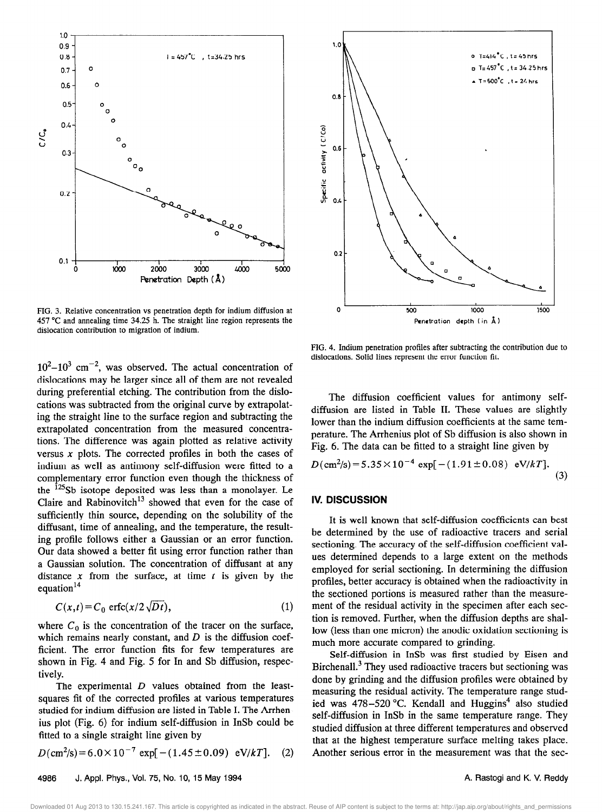

FIG. 3. Relative concentration vs penetration depth for indium diffusion at 457 "C and annealing time 34.25 h. The straight line region represents the dislocation contribution to migration of indium.

 $10^2 - 10^3$  cm<sup>-2</sup>, was observed. The actual concentration of dislocations may be larger since all of them are not revealed during preferential etching. The contribution from the dislocations was subtracted from the original curve by extrapolating the straight line to the surface region and subtracting the extrapolated concentration from the measured concentrations. The difference was again plotted as relative activity versus  $x$  plots. The corrected profiles in both the cases of indium as well as antimony self-diffusion were fitted to a complementary error function even though the thickness of the  $125Sb$  isotope deposited was less than a monolayer. Le Claire and Rabinovitch<sup>13</sup> showed that even for the case of sufficiently thin source, depending on the solubility of the diffusant, time of annealing, and the temperature, the resulting profile follows either a Gaussian or an error function. Our data showed a better fit using error function rather than a Gaussian solution. The concentration of diffusant at any distance x from the surface, at time  $t$  is given by the equation $14$ 

$$
C(x,t) = C_0 \text{ erfc}(x/2\sqrt{Dt}),\tag{1}
$$

where  $C_0$  is the concentration of the tracer on the surface, which remains nearly constant, and  $D$  is the diffusion coefficient. The error function fits for few temperatures are shown in Fig. 4 and Fig. 5 for In and Sb diffusion, respectively.

The experimental  $D$  values obtained from the leastsquares fit of the corrected profiles at various temperatures studied for indium diffusion are listed in Table I. The Arrhenius plot (Fig. 6) for indium self-diffusion in InSb could be fitted to a single straight line given by

$$
D(\text{cm}^2/\text{s}) = 6.0 \times 10^{-7} \text{ exp}[-(1.45 \pm 0.09) \text{ eV}/kT]. \quad (2)
$$



FIG. 4. Indium penetration profiles after subtracting the contribution due to dislocations. Solid lines represent the error function fit.

The diffusion coefficient values for antimony selfdiffusion are listed in Table II. These values are slightly lower than the indium diffusion coefficients at the same temperature. The Arrhenius plot of Sb diffusion is also shown in Fig. 6. The data can be fitted to a straight line given by

$$
D(\text{cm}^2/\text{s}) = 5.35 \times 10^{-4} \text{ exp}[-(1.91 \pm 0.08) \text{ eV}/kT]. \tag{3}
$$

#### IV. DISCUSSION

It is well known that self-diffusion coefficients can best be determined by the use of radioactive tracers and serial sectioning. The accuracy of the self-diffusion coefficient values determined depends to a large extent on the methods employed for serial sectioning. In determining the diffusion profiles, better accuracy is obtained when the radioactivity in the sectioned portions is measured rather than the measurement of the residual activity in the specimen after each section is removed. Further, when the diffusion depths are shallow (less than one micron) the anodic oxidation sectioning is much more accurate compared to grinding.

Self-diffusion in InSb was first studied by Eisen and Birchenall.<sup>3</sup> They used radioactive tracers but sectioning was done by grinding and the diffusion profiles were obtained by measuring the residual activity. The temperature range studied was  $478-520$  °C. Kendall and Huggins<sup>4</sup> also studied self-diffusion in InSb in the same temperature range. They studied diffusion at three different temperatures and observed that at the highest temperature surface melting takes place. Another serious error in the measurement was that the sec-

Downloaded 01 Aug 2013 to 130.15.241.167. This article is copyrighted as indicated in the abstract. Reuse of AIP content is subject to the terms at: http://jap.aip.org/about/rights\_and\_permissions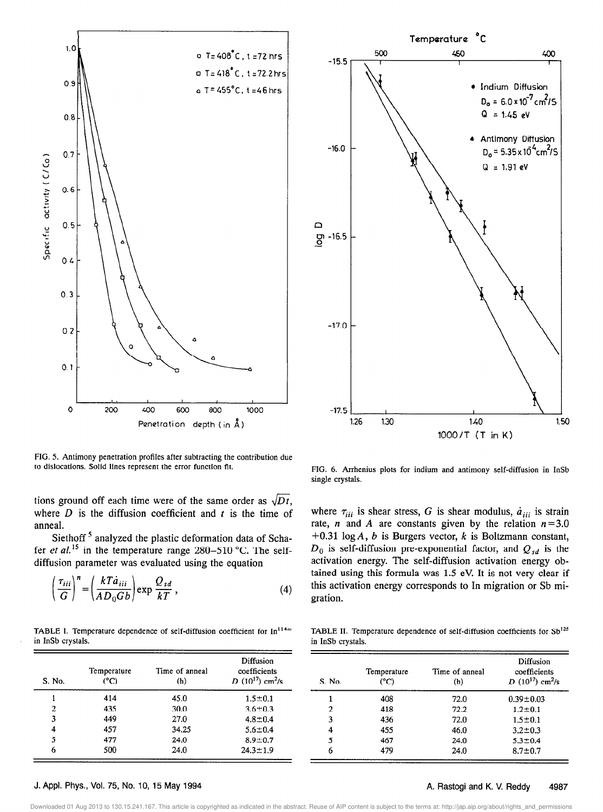

FIG. 5. Antimony penetration profiles after subtracting the contribution due to dislocations. Solid lines represent the error function fit.

tions ground off each time were of the same order as  $\sqrt{Dt}$ , where  $D$  is the diffusion coefficient and  $t$  is the time of anneal.

Siethoff<sup>5</sup> analyzed the plastic deformation data of Schafer *et al.*<sup>15</sup> in the temperature range  $280-510$  °C. The selfdiffusion parameter was evaluated using the equation

$$
\left(\frac{\tau_{iii}}{G}\right)^n = \left(\frac{kT\dot{a}_{iii}}{AD_0Gb}\right) \exp \frac{Q_{sd}}{kT},
$$
\n(4)

TABLE I. Temperature dependence of self-diffusion coefficient for  $In^{114m}$  TABLE II. Temperature dependence of self-diffusion coefficients for Sb<sup>125</sup> in InSb crystals. **in InSb crystals**.

1 414 45.0  $1.5\pm0.1$  $\begin{array}{cccc} 2 & 435 & 30.0 & 3.6 \pm 0.3 \\ 3 & 449 & 27.0 & 4.8 \pm 0.4 \end{array}$  $\begin{array}{cccc} 3 & 449 & 27.0 & 4.8 \pm 0.4 \\ 4 & 457 & 34.25 & 5.6 \pm 0.4 \end{array}$ 

5 477 24.0 8.9 $\pm$  0.7 6 500 24.0 24.3 $\pm$ 1.9

Temperature Time of anneal  $(^{\circ}C)$  (h)



FIG. 6. Arrhenius plots for indium and antimony self-diffusion in InSb single crystals.

where  $\tau_{iii}$  is shear stress, G is shear modulus,  $\dot{a}_{iii}$  is strain rate, *n* and *A* are constants given by the relation  $n=3.0$ +0.31 log A, b is Burgers vector,  $k$  is Boltzmann constant,  $D_0$  is self-diffusion pre-exponential factor, and  $Q_{sd}$  is the activation energy. The self-diffusion activation energy obtained using this formula was 1.5 eV. It is not very clear if this activation energy corresponds to In migration or Sb migration.

| S. No. | Temperature<br>(°C) | Time of anneal<br>(h) | Diffusion<br>coefficients<br>$D(10^{17})$ cm <sup>2</sup> /s |
|--------|---------------------|-----------------------|--------------------------------------------------------------|
|        | 408                 | 72.0                  | $0.39 \pm 0.03$                                              |
| 2      | 418                 | 72.2                  | $1.2 \pm 0.1$                                                |
| 3      | 436                 | 72.0                  | $1.5 \pm 0.1$                                                |
| 4      | 455                 | 46.0                  | $3.2 \pm 0.3$                                                |
| 5      | 467                 | 24.0                  | $5.3 \pm 0.4$                                                |
| 6      | 479                 | 24.0                  | $8.7 + 0.7$                                                  |

#### J. Appl. Phys., Vol. 75, No. 10, 15 May 1994 **A. A. Rastogi and K. V. Reddy** 4987

S. No.

Downloaded 01 Aug 2013 to 130.15.241.167. This article is copyrighted as indicated in the abstract. Reuse of AIP content is subject to the terms at: http://jap.aip.org/about/rights\_and\_permissions

Diffusion coefficients  $D(10^{17})$  cm<sup>2</sup>/s

 $5.6 \pm 0.4$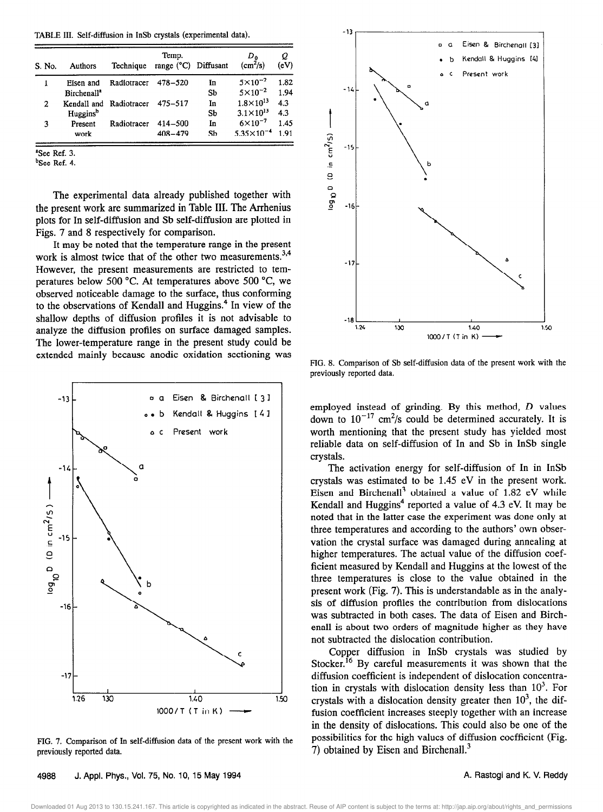TABLE III. Self-diffusion in InSb crystals (experimental data).

| S. No. | Authors                 | Technique               | Temp.<br>range (°C) Diffusant |    | $D_{0}$<br>$\text{(cm}^2\text{/s)}$ | Q<br>(eV) |
|--------|-------------------------|-------------------------|-------------------------------|----|-------------------------------------|-----------|
|        | Eisen and               | Radiotracer             | 478-520                       | In | $5 \times 10^{-2}$                  | 1.82      |
|        | Birchenall <sup>a</sup> |                         |                               | Sb | $5 \times 10^{-2}$                  | 1.94      |
| 2      |                         | Kendall and Radiotracer | 475–517                       | In | $1.8 \times 10^{13}$                | 4.3       |
|        | Huggins <sup>b</sup>    |                         |                               | Sb | $3.1 \times 10^{13}$                | 4.3       |
| 3      | Present                 | Radiotracer             | 414-500                       | In | $6\times10^{-7}$                    | 1.45      |
|        | work                    |                         | $408 - 479$                   | Sh | $5.35 \times 10^{-4}$               | 191       |

%ee Ref. 3.

bSee Ref. 4.

The experimental data already published together with the present work are summarized in Table III. The Arrhenius plots for In self-diffusion and Sb self-diffusion are plotted in Figs. 7 and 8 respectively for comparison.

It may be noted that the temperature range in the present work is almost twice that of the other two measurements.<sup>3,4</sup> However, the present measurements are restricted to temperatures below 500 "C. At temperatures above 500 "C, we observed noticeable damage to the surface, thus conforming to the observations of Kendall and Huggins.<sup>4</sup> In view of the shallow depths of diffusion profiles it is not advisable to analyze the diffusion profiles on surface damaged samples. The lower-temperature range in the present study could be extended mainly because anodic oxidation sectioning was



FIG. 7. Comparison of In self-diffusion data of the present work with the previously reported data.



FIG. 8. Comparison of Sb self-diffusion data of the present work with the previously reported data.

employed instead of grinding. By this method, D values down to  $10^{-17}$  cm<sup>2</sup>/s could be determined accurately. It is worth mentioning that the present study has yielded most reliable data on self-diffusion of In and Sb in InSb single crystals.

The activation energy for self-diffusion of In in InSb crystals was estimated to be 1.45 eV in the present work. Eisen and Birchenall<sup>3</sup> obtained a value of  $1.82$  eV while Kendall and Huggins<sup>4</sup> reported a value of 4.3 eV. It may be noted that in the latter case the experiment was done only at three temperatures and according to the authors' own observation the crystal surface was damaged during annealing at higher temperatures. The actual value of the diffusion coefficient measured by Kendall and Huggins at the lowest of the three temperatures is close to the value obtained in the present work (Fig. 7). This is understandable as in the analysis of diffusion profiles the contribution from dislocations was subtracted in both cases. The data of Eisen and Birchenall is about two orders of magnitude higher as they have not subtracted the dislocation contribution.

Copper diffusion in InSb crystals was studied by Stocker.<sup>16</sup> By careful measurements it was shown that the diffusion coefficient is independent of dislocation concentration in crystals with dislocation density less than  $10<sup>3</sup>$ . For crystals with a dislocation density greater then  $10<sup>3</sup>$ , the diffusion coefficient increases steeply together with an increase in the density of dislocations. This could also be one of the possibilities for the high values of diffusion coefficient (Fig. 7) obtained by Eisen and Birchenall.<sup>3</sup>

130.15.241.167. This article is copyrighted as indicated in the abstract. Reuse of AIP content is subject to the terms at: http://jap.aip.org/about/rights\_and\_permissions